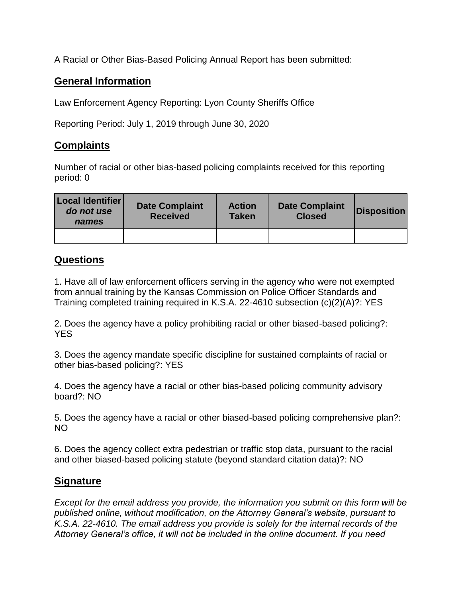A Racial or Other Bias-Based Policing Annual Report has been submitted:

## **General Information**

Law Enforcement Agency Reporting: Lyon County Sheriffs Office

Reporting Period: July 1, 2019 through June 30, 2020

## **Complaints**

Number of racial or other bias-based policing complaints received for this reporting period: 0

| Local Identifier<br>do not use<br>names | <b>Date Complaint</b><br><b>Received</b> | <b>Action</b><br><b>Taken</b> | <b>Date Complaint</b><br><b>Closed</b> | <b>Disposition</b> |
|-----------------------------------------|------------------------------------------|-------------------------------|----------------------------------------|--------------------|
|                                         |                                          |                               |                                        |                    |

## **Questions**

1. Have all of law enforcement officers serving in the agency who were not exempted from annual training by the Kansas Commission on Police Officer Standards and Training completed training required in K.S.A. 22-4610 subsection (c)(2)(A)?: YES

2. Does the agency have a policy prohibiting racial or other biased-based policing?: YES

3. Does the agency mandate specific discipline for sustained complaints of racial or other bias-based policing?: YES

4. Does the agency have a racial or other bias-based policing community advisory board?: NO

5. Does the agency have a racial or other biased-based policing comprehensive plan?: NO

6. Does the agency collect extra pedestrian or traffic stop data, pursuant to the racial and other biased-based policing statute (beyond standard citation data)?: NO

## **Signature**

*Except for the email address you provide, the information you submit on this form will be published online, without modification, on the Attorney General's website, pursuant to K.S.A. 22-4610. The email address you provide is solely for the internal records of the Attorney General's office, it will not be included in the online document. If you need*